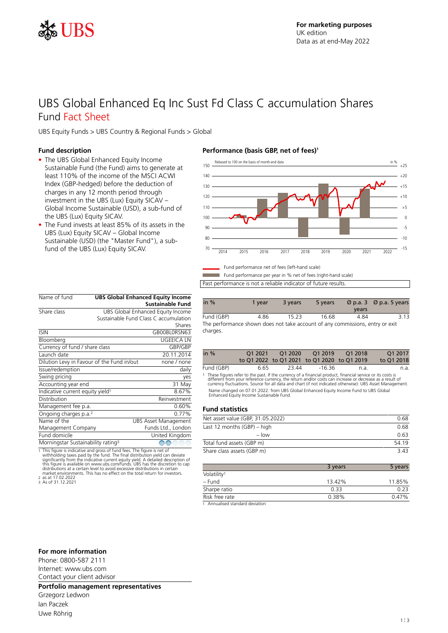

## UBS Global Enhanced Eq Inc Sust Fd Class C accumulation Shares Fund Fact Sheet

UBS Equity Funds > UBS Country & Regional Funds > Global

## **Fund description**

- The UBS Global Enhanced Equity Income Sustainable Fund (the Fund) aims to generate at least 110% of the income of the MSCI ACWI Index (GBP-hedged) before the deduction of charges in any 12 month period through investment in the UBS (Lux) Equity SICAV – Global Income Sustainable (USD), a sub-fund of the UBS (Lux) Equity SICAV.
- The Fund invests at least 85% of its assets in the UBS (Lux) Equity SICAV – Global Income Sustainable (USD) (the "Master Fund"), a subfund of the UBS (Lux) Equity SICAV.

| Name of fund                                   |  | <b>UBS Global Enhanced Equity Income</b> |
|------------------------------------------------|--|------------------------------------------|
|                                                |  | <b>Sustainable Fund</b>                  |
| Share class                                    |  | UBS Global Enhanced Equity Income        |
|                                                |  | Sustainable Fund Class C accumulation    |
|                                                |  | Shares                                   |
| <b>ISIN</b>                                    |  | GBOOBLORSN63                             |
| Bloomberg                                      |  | <b>UGEEICA LN</b>                        |
| Currency of fund / share class                 |  | GBP/GBP                                  |
| Launch date                                    |  | 20.11.2014                               |
| Dilution Levy in Favour of the Fund in/out     |  | none / none                              |
| Issue/redemption                               |  | daily                                    |
| Swing pricing                                  |  | yes                                      |
| Accounting year end                            |  | 31 May                                   |
| Indicative current equity yield <sup>1</sup>   |  | 8.67%                                    |
| Distribution                                   |  | Reinvestment                             |
| Management fee p.a.                            |  | 0.60%                                    |
| Ongoing charges p.a. <sup>2</sup>              |  | 0.77%                                    |
| Name of the                                    |  | <b>UBS Asset Management</b>              |
| Management Company                             |  | Funds Ltd., London                       |
| Fund domicile                                  |  | United Kingdom                           |
| Morningstar Sustainability rating <sup>3</sup> |  | $\textcircled{f}$                        |

1 This figure is indicative and gross of fund fees. The figure is net of withholding taxes paid by the fund. The final distribution yield can deviate significantly from the indicative current equity yield. A detailed desc

## **Performance (basis GBP, net of fees)<sup>1</sup>**



Fund performance per year in % net of fees (right-hand scale) Past performance is not a reliable indicator of future results.

| in $%$                                                                        | 1 vear | 3 years | 5 years | years | $\varnothing$ p.a. 3 $\varnothing$ p.a. 5 years |
|-------------------------------------------------------------------------------|--------|---------|---------|-------|-------------------------------------------------|
| Fund (GBP)                                                                    | 4.86   | 15.23   | 16.68   | 4 84  | 3.13                                            |
| The performance shown does not take account of any commissions, entry or exit |        |         |         |       |                                                 |

| in $%$     | 01 2021 |        |                                             |      | O <sub>1</sub> 2017 |
|------------|---------|--------|---------------------------------------------|------|---------------------|
|            |         |        | to Q1 2022 to Q1 2021 to Q1 2020 to Q1 2019 |      | to O1 2018          |
| Fund (GBP) | 6.65    | -23.44 | -16.36                                      | n.a. | n.a.                |

1 These figures refer to the past. If the currency of a financial product, financial service or its costs is<br>16 different from your reference currency, the return and/or costs can increase or decrease as a result of<br>16 cur Name changed on 07.01.2022: from UBS Global Enhanced Equity Income Fund to UBS Global<br>Enhanced Equity Income Sustainable Fund.

#### **Fund statistics**

charges.

| Net asset value (GBP, 31.05.2022) | 0.68  |
|-----------------------------------|-------|
| Last 12 months $(GBP)$ – high     | 0.68  |
| $-$ low                           | 0.63  |
| Total fund assets (GBP m)         | 54 19 |
| Share class assets (GBP m)        | 343   |

|                         | 3 years | 5 years |
|-------------------------|---------|---------|
| Volatility <sup>1</sup> |         |         |
| – Fund                  | 13.42%  | 11.85%  |
| Sharpe ratio            | 0.33    | 0.23    |
| Risk free rate          | 0.38%   | 0.47%   |

1 Annualised standard deviation

#### **For more information**

Phone: 0800-587 2111 Internet: www.ubs.com Contact your client advisor

**Portfolio management representatives**

Grzegorz Ledwon Ian Paczek Uwe Röhrig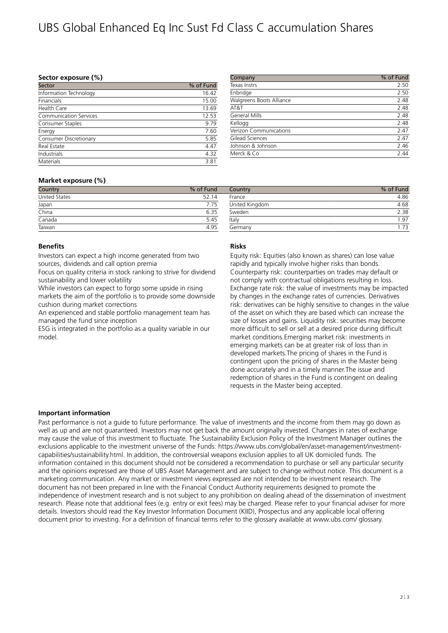# UBS Global Enhanced Eq Inc Sust Fd Class C accumulation Shares

#### **Sector exposure (%)**

| % of Fund |
|-----------|
| 16.42     |
| 15.00     |
| 13.69     |
| 12.53     |
| 9.79      |
| 7.60      |
| 5.85      |
| 4.47      |
| 4.32      |
| 3.81      |
|           |

| Texas Instrs             | 2.50 |
|--------------------------|------|
| Enbridge                 | 2.50 |
| Walgreens Boots Alliance | 2.48 |
| AT&T                     | 2.48 |
| <b>General Mills</b>     | 2.48 |
| Kellogg                  | 2.48 |
| Verizon Communications   | 2.47 |
| Gilead Sciences          | 2.47 |
| Johnson & Johnson        | 2.46 |
| Merck & Co               | 2.44 |

## **Market exposure (%)**

| Country       | % of Fund |
|---------------|-----------|
| United States | 52.14     |
| Japan         | 775       |
| China         | 6.35      |
| Canada        | 5.45      |
| Taiwan        | 495       |

#### **Benefits**

Investors can expect a high income generated from two sources, dividends and call option premia

Focus on quality criteria in stock ranking to strive for dividend sustainability and lower volatility

While investors can expect to forgo some upside in rising markets the aim of the portfolio is to provide some downside cushion during market corrections

An experienced and stable portfolio management team has managed the fund since inception

ESG is integrated in the portfolio as a quality variable in our model.

### Country **With Country 1999** of Fund France 4.86 United Kingdom 4.68 Sweden 2.38 Italy 1.97 Germany 1.73

## **Risks**

Equity risk: Equities (also known as shares) can lose value rapidly and typically involve higher risks than bonds. Counterparty risk: counterparties on trades may default or not comply with contractual obligations resulting in loss. Exchange rate risk: the value of investments may be impacted by changes in the exchange rates of currencies. Derivatives risk: derivatives can be highly sensitive to changes in the value of the asset on which they are based which can increase the size of losses and gains. Liquidity risk: securities may become more difficult to sell or sell at a desired price during difficult market conditions.Emerging market risk: investments in emerging markets can be at greater risk of loss than in developed markets.The pricing of shares in the Fund is contingent upon the pricing of shares in the Master being done accurately and in a timely manner.The issue and redemption of shares in the Fund is contingent on dealing requests in the Master being accepted.

## **Important information**

Past performance is not a guide to future performance. The value of investments and the income from them may go down as well as up and are not guaranteed. Investors may not get back the amount originally invested. Changes in rates of exchange may cause the value of this investment to fluctuate. The Sustainability Exclusion Policy of the Investment Manager outlines the exclusions applicable to the investment universe of the Funds: https://www.ubs.com/global/en/asset-management/investmentcapabilities/sustainability.html. In addition, the controversial weapons exclusion applies to all UK domiciled funds. The information contained in this document should not be considered a recommendation to purchase or sell any particular security and the opinions expressed are those of UBS Asset Management and are subject to change without notice. This document is a marketing communication. Any market or investment views expressed are not intended to be investment research. The document has not been prepared in line with the Financial Conduct Authority requirements designed to promote the independence of investment research and is not subject to any prohibition on dealing ahead of the dissemination of investment research. Please note that additional fees (e.g. entry or exit fees) may be charged. Please refer to your financial adviser for more details. Investors should read the Key Investor Information Document (KIID), Prospectus and any applicable local offering document prior to investing. For a definition of financial terms refer to the glossary available at www.ubs.com/ glossary.